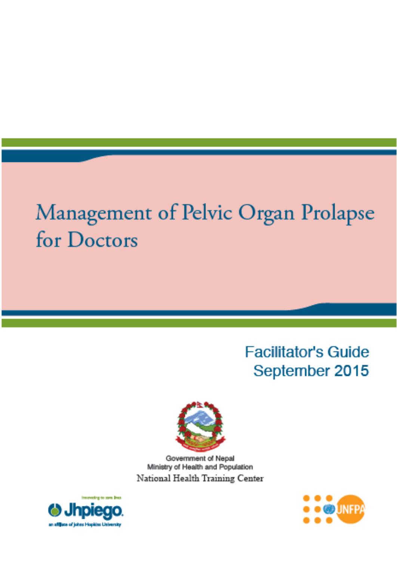# Management of Pelvic Organ Prolapse for Doctors

# **Facilitator's Guide** September 2015



Government of Nepal Ministry of Health and Population National Health Training Center



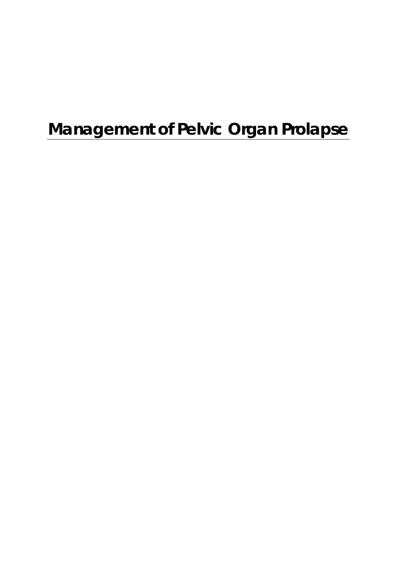# **Management of Pelvic Organ Prolapse**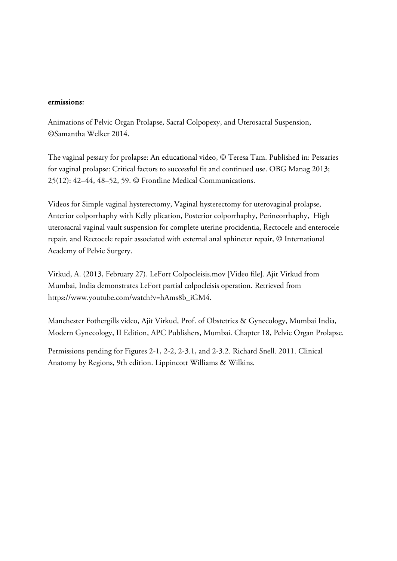#### ermissions:

Animations of Pelvic Organ Prolapse, Sacral Colpopexy, and Uterosacral Suspension, ©Samantha Welker 2014.

The vaginal pessary for prolapse: An educational video, © Teresa Tam. Published in: Pessaries for vaginal prolapse: Critical factors to successful fit and continued use. OBG Manag 2013; 25(12): 42–44, 48–52, 59. © Frontline Medical Communications.

Videos for Simple vaginal hysterectomy, Vaginal hysterectomy for uterovaginal prolapse, Anterior colporrhaphy with Kelly plication, Posterior colporrhaphy, Perineorrhaphy, High uterosacral vaginal vault suspension for complete uterine procidentia, Rectocele and enterocele repair, and Rectocele repair associated with external anal sphincter repair, © International Academy of Pelvic Surgery.

Virkud, A. (2013, February 27). LeFort Colpocleisis.mov [Video file]. Ajit Virkud from Mumbai, India demonstrates LeFort partial colpocleisis operation. Retrieved from https://www.youtube.com/watch?v=hAms8b\_iGM4.

Manchester Fothergills video, Ajit Virkud, Prof. of Obstetrics & Gynecology, Mumbai India, Modern Gynecology, II Edition, APC Publishers, Mumbai. Chapter 18, Pelvic Organ Prolapse.

Permissions pending for Figures 2-1, 2-2, 2-3.1, and 2-3.2. Richard Snell. 2011. Clinical Anatomy by Regions, 9th edition. Lippincott Williams & Wilkins.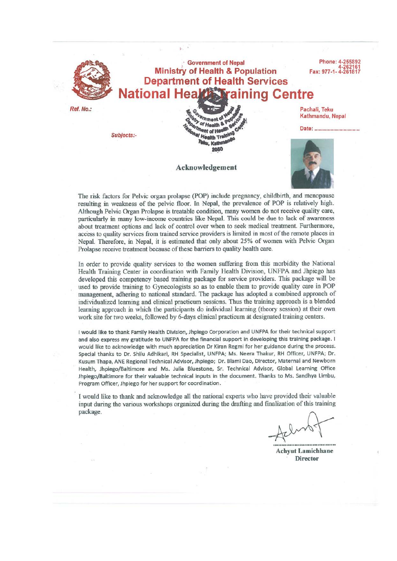

The risk factors for Pelvic organ prolapse (POP) include pregnancy, childbirth, and menopause resulting in weakness of the pelvic floor. In Nepal, the prevalence of POP is relatively high. Although Pelvic Organ Prolapse is treatable condition, many women do not receive quality care, particularly in many low-income countries like Nepal. This could be due to lack of awareness about treatment options and lack of control over when to seek medical treatment. Furthermore, access to quality services from trained service providers is limited in most of the remote places in Nepal. Therefore, in Nepal, it is estimated that only about 25% of women with Pelvic Organ Prolapse receive treatment because of these barriers to quality health care.

In order to provide quality services to the women suffering from this morbidity the National Health Training Center in coordination with Family Health Division, UNFPA and Jhpiego has developed this competency based training package for service providers. This package will be used to provide training to Gynecologists so as to enable them to provide quality care in POP management, adhering to national standard. The package has adopted a combined approach of individualized learning and clinical practicum sessions. Thus the training approach is a blended learning approach in which the participants do individual learning (theory session) at their own work site for two weeks, followed by 6-days clinical practicum at designated training centers.

I would like to thank Family Health Division, Jhpiego Corporation and UNFPA for their technical support and also express my gratitude to UNFPA for the financial support in developing this training package. I would like to acknowledge with much appreciation Dr Kiran Regmi for her guidance during the process. Special thanks to Dr. Shilu Adhikari, RH Specialist, UNFPA; Ms. Neera Thakur, RH Officer, UNFPA; Dr. Kusum Thapa, ANE Regional Technical Advisor, Jhpiego; Dr. Blami Dao, Director, Maternal and Newborn Health, Jhpiego/Baltimore and Ms. Julia Bluestone, Sr. Technical Advisor, Global Learning Office Jhpiego/Baltimore for their valuable technical inputs in the document. Thanks to Ms. Sandhya Limbu, Program Officer, Jhpiego for her support for coordination.

I would like to thank and acknowledge all the national experts who have provided their valuable input during the various workshops organized during the drafting and finalization of this training package.

**Achvut Lamichhane Director**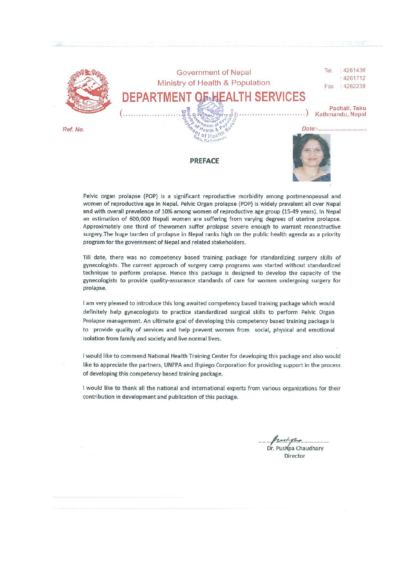

Pelvic organ prolapse (POP) is a significant reproductive morbidity among postmenopausal and women of reproductive age in Nepal. Pelvic Organ prolapse (POP) is widely prevalent all over Nepal and with overall prevalence of 10% among women of reproductive age group (15-49 years). In Nepal an estimation of 600,000 Nepali women are suffering from varying degrees of uterine prolapse. Approximately one third of thewomen suffer prolapse severe enough to warrant reconstructive surgery. The huge burden of prolapse in Nepal ranks high on the public health agenda as a priority program for the government of Nepal and related stakeholders.

Till date, there was no competency based training package for standardizing surgery skills of gynecologists. The current approach of surgery camp programs was started without standardized technique to perform prolapse. Hence this package is designed to develop the capacity of the gynecologists to provide quality-assurance standards of care for women undergoing surgery for prolapse.

I am very pleased to introduce this long awaited competency based training package which would definitely help gynecologists to practice standardized surgical skills to perform Pelvic Organ Prolapse management. An ultimate goal of developing this competency based training package is to provide quality of services and help prevent women from social, physical and emotional isolation from family and society and live normal lives.

I would like to commend National Health Training Center for developing this package and also would like to appreciate the partners, UNFPA and Jhpiego Corporation for providing support in the process of developing this competency based training package.

I would like to thank all the national and international experts from various organizations for their contribution in development and publication of this package.

mpo Dr. Pushpa Chaudhary

Director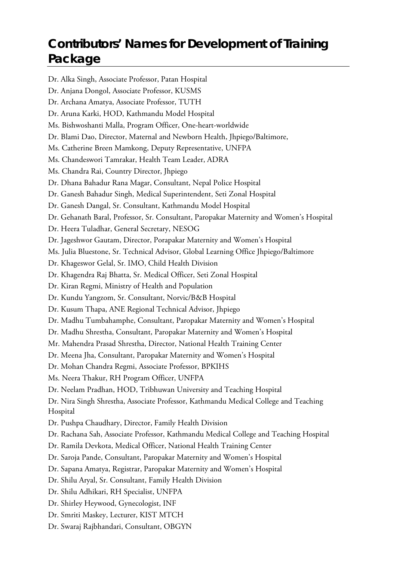# **Contributors' Names for Development of Training Package**

Dr. Alka Singh, Associate Professor, Patan Hospital Dr. Anjana Dongol, Associate Professor, KUSMS Dr. Archana Amatya, Associate Professor, TUTH Dr. Aruna Karki, HOD, Kathmandu Model Hospital Ms. Bishwoshanti Malla, Program Officer, One-heart-worldwide Dr. Blami Dao, Director, Maternal and Newborn Health, Jhpiego/Baltimore, Ms. Catherine Breen Mamkong, Deputy Representative, UNFPA Ms. Chandeswori Tamrakar, Health Team Leader, ADRA Ms. Chandra Rai, Country Director, Jhpiego Dr. Dhana Bahadur Rana Magar, Consultant, Nepal Police Hospital Dr. Ganesh Bahadur Singh, Medical Superintendent, Seti Zonal Hospital Dr. Ganesh Dangal, Sr. Consultant, Kathmandu Model Hospital Dr. Gehanath Baral, Professor, Sr. Consultant, Paropakar Maternity and Women's Hospital Dr. Heera Tuladhar, General Secretary, NESOG Dr. Jageshwor Gautam, Director, Porapakar Maternity and Women's Hospital Ms. Julia Bluestone, Sr. Technical Advisor, Global Learning Office Jhpiego/Baltimore Dr. Khageswor Gelal, Sr. IMO, Child Health Division Dr. Khagendra Raj Bhatta, Sr. Medical Officer, Seti Zonal Hospital Dr. Kiran Regmi, Ministry of Health and Population Dr. Kundu Yangzom, Sr. Consultant, Norvic/B&B Hospital Dr. Kusum Thapa, ANE Regional Technical Advisor, Jhpiego Dr. Madhu Tumbahamphe, Consultant, Paropakar Maternity and Women's Hospital Dr. Madhu Shrestha, Consultant, Paropakar Maternity and Women's Hospital Mr. Mahendra Prasad Shrestha, Director, National Health Training Center Dr. Meena Jha, Consultant, Paropakar Maternity and Women's Hospital Dr. Mohan Chandra Regmi, Associate Professor, BPKIHS Ms. Neera Thakur, RH Program Officer, UNFPA Dr. Neelam Pradhan, HOD, Tribhuwan University and Teaching Hospital Dr. Nira Singh Shrestha, Associate Professor, Kathmandu Medical College and Teaching Hospital Dr. Pushpa Chaudhary, Director, Family Health Division Dr. Rachana Sah, Associate Professor, Kathmandu Medical College and Teaching Hospital Dr. Ramila Devkota, Medical Officer, National Health Training Center Dr. Saroja Pande, Consultant, Paropakar Maternity and Women's Hospital Dr. Sapana Amatya, Registrar, Paropakar Maternity and Women's Hospital Dr. Shilu Aryal, Sr. Consultant, Family Health Division Dr. Shilu Adhikari, RH Specialist, UNFPA Dr. Shirley Heywood, Gynecologist, INF Dr. Smriti Maskey, Lecturer, KIST MTCH Dr. Swaraj Rajbhandari, Consultant, OBGYN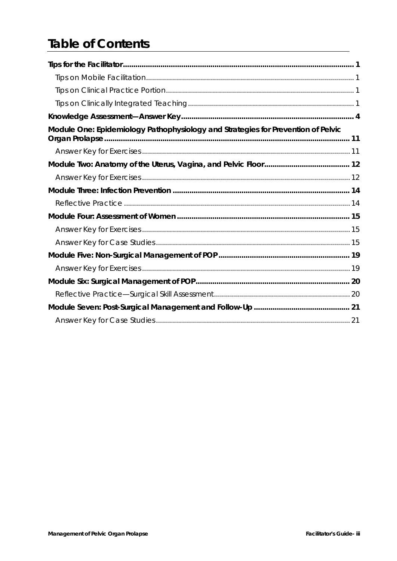# **Table of Contents**

| Module One: Epidemiology Pathophysiology and Strategies for Prevention of Pelvic |  |
|----------------------------------------------------------------------------------|--|
|                                                                                  |  |
|                                                                                  |  |
|                                                                                  |  |
|                                                                                  |  |
|                                                                                  |  |
|                                                                                  |  |
|                                                                                  |  |
|                                                                                  |  |
|                                                                                  |  |
|                                                                                  |  |
|                                                                                  |  |
|                                                                                  |  |
|                                                                                  |  |
|                                                                                  |  |
|                                                                                  |  |
|                                                                                  |  |
|                                                                                  |  |
|                                                                                  |  |
|                                                                                  |  |
|                                                                                  |  |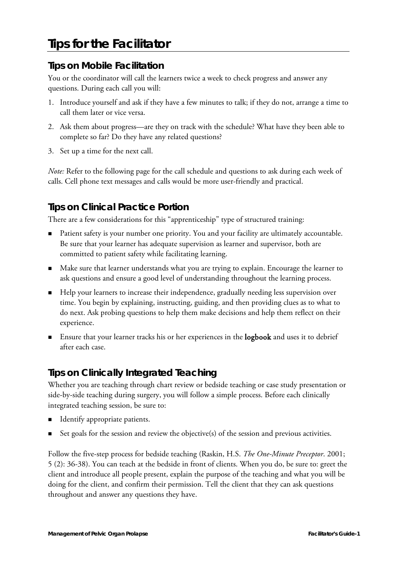# <span id="page-12-0"></span>**Tips for the Facilitator**

### <span id="page-12-1"></span>**Tips on Mobile Facilitation**

You or the coordinator will call the learners twice a week to check progress and answer any questions. During each call you will:

- 1. Introduce yourself and ask if they have a few minutes to talk; if they do not, arrange a time to call them later or vice versa.
- 2. Ask them about progress—are they on track with the schedule? What have they been able to complete so far? Do they have any related questions?
- 3. Set up a time for the next call.

*Note:* Refer to the following page for the call schedule and questions to ask during each week of calls. Cell phone text messages and calls would be more user-friendly and practical.

# <span id="page-12-2"></span>**Tips on Clinical Practice Portion**

There are a few considerations for this "apprenticeship" type of structured training:

- Patient safety is your number one priority. You and your facility are ultimately accountable. Be sure that your learner has adequate supervision as learner and supervisor, both are committed to patient safety while facilitating learning.
- Make sure that learner understands what you are trying to explain. Encourage the learner to ask questions and ensure a good level of understanding throughout the learning process.
- Help your learners to increase their independence, gradually needing less supervision over time. You begin by explaining, instructing, guiding, and then providing clues as to what to do next. Ask probing questions to help them make decisions and help them reflect on their experience.
- **Ensure that your learner tracks his or her experiences in the logbook and uses it to debrief** after each case.

## <span id="page-12-3"></span>**Tips on Clinically Integrated Teaching**

Whether you are teaching through chart review or bedside teaching or case study presentation or side-by-side teaching during surgery, you will follow a simple process. Before each clinically integrated teaching session, be sure to:

- **Identify appropriate patients.**
- Set goals for the session and review the objective(s) of the session and previous activities.

Follow the five-step process for bedside teaching (Raskin, H.S. *The One-Minute Preceptor*. 2001; 5 (2): 36-38). You can teach at the bedside in front of clients. When you do, be sure to: greet the client and introduce all people present, explain the purpose of the teaching and what you will be doing for the client, and confirm their permission. Tell the client that they can ask questions throughout and answer any questions they have.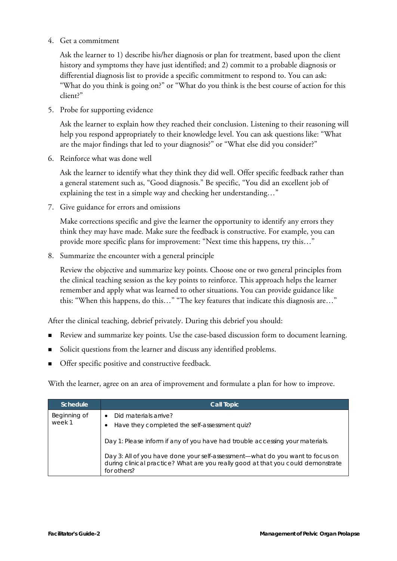4. Get a commitment

Ask the learner to 1) describe his/her diagnosis or plan for treatment, based upon the client history and symptoms they have just identified; and 2) commit to a probable diagnosis or differential diagnosis list to provide a specific commitment to respond to. You can ask: "What do you think is going on?" or "What do you think is the best course of action for this client?"

5. Probe for supporting evidence

Ask the learner to explain how they reached their conclusion. Listening to their reasoning will help you respond appropriately to their knowledge level. You can ask questions like: "What are the major findings that led to your diagnosis?" or "What else did you consider?"

6. Reinforce what was done well

Ask the learner to identify what they think they did well. Offer specific feedback rather than a general statement such as, "Good diagnosis." Be specific, "You did an excellent job of explaining the test in a simple way and checking her understanding…"

7. Give guidance for errors and omissions

Make corrections specific and give the learner the opportunity to identify any errors they think they may have made. Make sure the feedback is constructive. For example, you can provide more specific plans for improvement: "Next time this happens, try this…"

8. Summarize the encounter with a general principle

Review the objective and summarize key points. Choose one or two general principles from the clinical teaching session as the key points to reinforce. This approach helps the learner remember and apply what was learned to other situations. You can provide guidance like this: "When this happens, do this…" "The key features that indicate this diagnosis are…"

After the clinical teaching, debrief privately. During this debrief you should:

- Review and summarize key points. Use the case-based discussion form to document learning.
- Solicit questions from the learner and discuss any identified problems.
- **Offer specific positive and constructive feedback.**

With the learner, agree on an area of improvement and formulate a plan for how to improve.

| Schedule               | <b>Call Topic</b>                                                                                                                                                                |  |
|------------------------|----------------------------------------------------------------------------------------------------------------------------------------------------------------------------------|--|
| Beginning of<br>week 1 | Did materials arrive?<br>$\bullet$<br>Have they completed the self-assessment quiz?<br>٠                                                                                         |  |
|                        | Day 1: Please inform if any of you have had trouble accessing your materials.                                                                                                    |  |
|                        | Day 3: All of you have done your self-assessment-what do you want to focus on<br>during clinical practice? What are you really good at that you could demonstrate<br>for others? |  |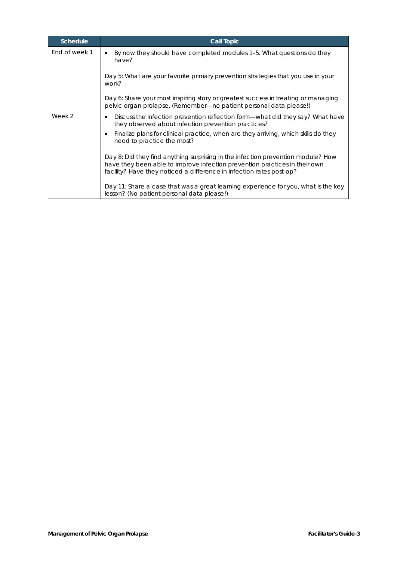| <b>Schedule</b> | <b>Call Topic</b>                                                                                                                                                                                                                      |
|-----------------|----------------------------------------------------------------------------------------------------------------------------------------------------------------------------------------------------------------------------------------|
| End of week 1   | By now they should have completed modules 1–5. What questions do they<br>have?                                                                                                                                                         |
|                 | Day 5: What are your favorite primary prevention strategies that you use in your<br>work?                                                                                                                                              |
|                 | Day 6: Share your most inspiring story or greatest success in treating or managing<br>pelvic organ prolapse. (Remember-no patient personal data please!)                                                                               |
| Week 2          | Discuss the infection prevention reflection form—what did they say? What have<br>٠<br>they observed about infection prevention practices?                                                                                              |
|                 | Finalize plans for clinical practice, when are they arriving, which skills do they<br>$\bullet$<br>need to practice the most?                                                                                                          |
|                 | Day 8: Did they find anything surprising in the infection prevention module? How<br>have they been able to improve infection prevention practices in their own<br>facility? Have they noticed a difference in infection rates post-op? |
|                 | Day 11: Share a case that was a great learning experience for you, what is the key<br>lesson? (No patient personal data please!)                                                                                                       |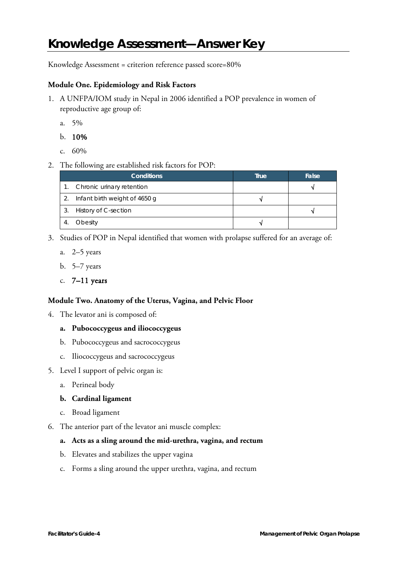# <span id="page-15-0"></span>**Knowledge Assessment—Answer Key**

Knowledge Assessment = criterion reference passed score=80%

#### **Module One. Epidemiology and Risk Factors**

- 1. A UNFPA/IOM study in Nepal in 2006 identified a POP prevalence in women of reproductive age group of:
	- a. 5%
	- b. 10%
	- c. 60%
- 2. The following are established risk factors for POP:

| <b>Conditions</b>             | True | False |
|-------------------------------|------|-------|
| Chronic urinary retention     |      |       |
| Infant birth weight of 4650 g |      |       |
| History of C-section          |      |       |
| Obesity                       |      |       |

- 3. Studies of POP in Nepal identified that women with prolapse suffered for an average of:
	- a. 2–5 years
	- b. 5–7 years
	- c.  $7-11$  years

#### **Module Two. Anatomy of the Uterus, Vagina, and Pelvic Floor**

4. The levator ani is composed of:

#### **a. Pubococcygeus and iliococcygeus**

- b. Pubococcygeus and sacrococcygeus
- c. Iliococcygeus and sacrococcygeus
- 5. Level I support of pelvic organ is:
	- a. Perineal body

#### **b. Cardinal ligament**

- c. Broad ligament
- 6. The anterior part of the levator ani muscle complex:

#### **a. Acts as a sling around the mid-urethra, vagina, and rectum**

- b. Elevates and stabilizes the upper vagina
- c. Forms a sling around the upper urethra, vagina, and rectum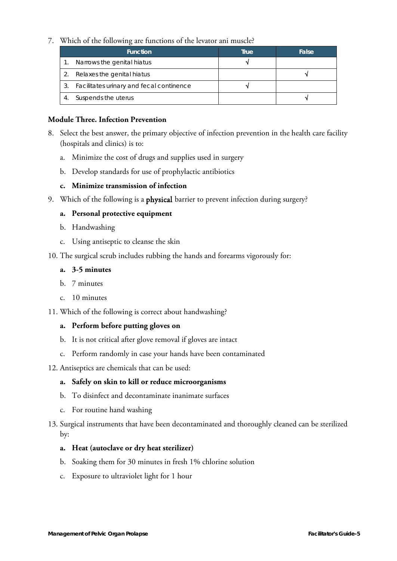#### 7. Which of the following are functions of the levator ani muscle?

|    | <b>Function</b>                          | True | False |
|----|------------------------------------------|------|-------|
|    | Narrows the genital hiatus               |      |       |
|    | Relaxes the genital hiatus               |      |       |
| 3. | Facilitates urinary and fecal continence |      |       |
|    | Suspends the uterus                      |      |       |

#### **Module Three. Infection Prevention**

- 8. Select the best answer, the primary objective of infection prevention in the health care facility (hospitals and clinics) is to:
	- a. Minimize the cost of drugs and supplies used in surgery
	- b. Develop standards for use of prophylactic antibiotics

#### **c. Minimize transmission of infection**

9. Which of the following is a physical barrier to prevent infection during surgery?

#### **a. Personal protective equipment**

- b. Handwashing
- c. Using antiseptic to cleanse the skin
- 10. The surgical scrub includes rubbing the hands and forearms vigorously for:

#### **a. 3-5 minutes**

- b. 7 minutes
- c. 10 minutes
- 11. Which of the following is correct about handwashing?

#### **a. Perform before putting gloves on**

- b. It is not critical after glove removal if gloves are intact
- c. Perform randomly in case your hands have been contaminated
- 12. Antiseptics are chemicals that can be used:

#### **a. Safely on skin to kill or reduce microorganisms**

- b. To disinfect and decontaminate inanimate surfaces
- c. For routine hand washing
- 13. Surgical instruments that have been decontaminated and thoroughly cleaned can be sterilized by:

#### **a. Heat (autoclave or dry heat sterilizer)**

- b. Soaking them for 30 minutes in fresh 1% chlorine solution
- c. Exposure to ultraviolet light for 1 hour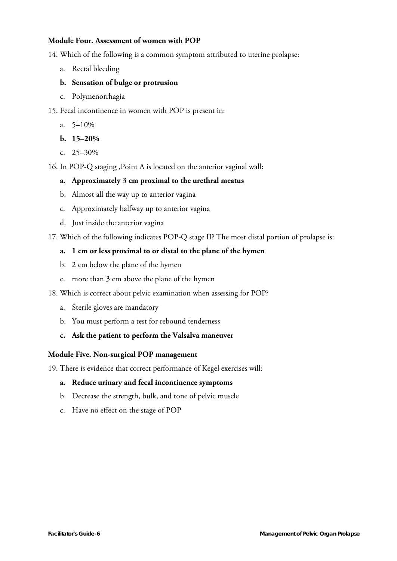#### **Module Four. Assessment of women with POP**

14. Which of the following is a common symptom attributed to uterine prolapse:

- a. Rectal bleeding
- **b. Sensation of bulge or protrusion**
- c. Polymenorrhagia
- 15. Fecal incontinence in women with POP is present in:
	- a.  $5-10\%$
	- **b. 15–20%**
	- c. 25–30%
- 16. In POP-Q staging ,Point A is located on the anterior vaginal wall:

#### **a. Approximately 3 cm proximal to the urethral meatus**

- b. Almost all the way up to anterior vagina
- c. Approximately halfway up to anterior vagina
- d. Just inside the anterior vagina

17. Which of the following indicates POP-Q stage II? The most distal portion of prolapse is:

#### **a. 1 cm or less proximal to or distal to the plane of the hymen**

- b. 2 cm below the plane of the hymen
- c. more than 3 cm above the plane of the hymen
- 18. Which is correct about pelvic examination when assessing for POP?
	- a. Sterile gloves are mandatory
	- b. You must perform a test for rebound tenderness
	- **c. Ask the patient to perform the Valsalva maneuver**

#### **Module Five. Non-surgical POP management**

19. There is evidence that correct performance of Kegel exercises will:

#### **a. Reduce urinary and fecal incontinence symptoms**

- b. Decrease the strength, bulk, and tone of pelvic muscle
- c. Have no effect on the stage of POP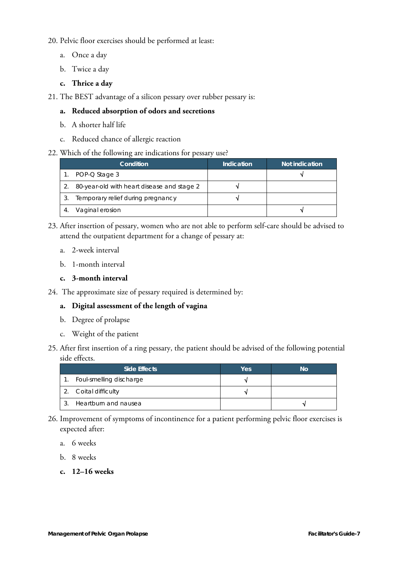20. Pelvic floor exercises should be performed at least:

- a. Once a day
- b. Twice a day
- **c. Thrice a day**
- 21. The BEST advantage of a silicon pessary over rubber pessary is:

#### **a. Reduced absorption of odors and secretions**

- b. A shorter half life
- c. Reduced chance of allergic reaction

#### 22. Which of the following are indications for pessary use?

| Condition                                  | Indication | Not indication |
|--------------------------------------------|------------|----------------|
| POP-Q Stage 3                              |            |                |
| 80-year-old with heart disease and stage 2 |            |                |
| Temporary relief during pregnancy          |            |                |
| Vaginal erosion                            |            |                |

- 23. After insertion of pessary, women who are not able to perform self-care should be advised to attend the outpatient department for a change of pessary at:
	- a. 2-week interval
	- b. 1-month interval

#### **c. 3-month interval**

24. The approximate size of pessary required is determined by:

#### **a. Digital assessment of the length of vagina**

- b. Degree of prolapse
- c. Weight of the patient
- 25. After first insertion of a ring pessary, the patient should be advised of the following potential side effects.

| Side Effects            | Yes | No |
|-------------------------|-----|----|
| Foul-smelling discharge |     |    |
| Coital difficulty       |     |    |
| Heartburn and nausea    |     |    |

- 26. Improvement of symptoms of incontinence for a patient performing pelvic floor exercises is expected after:
	- a. 6 weeks
	- b. 8 weeks
	- **c. 12–16 weeks**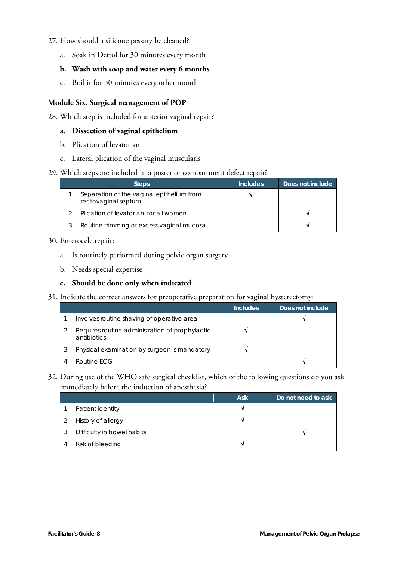#### 27. How should a silicone pessary be cleaned?

a. Soak in Dettol for 30 minutes every month

#### **b. Wash with soap and water every 6 months**

c. Boil it for 30 minutes every other month

#### **Module Six. Surgical management of POP**

28. Which step is included for anterior vaginal repair?

#### **a. Dissection of vaginal epithelium**

- b. Plication of levator ani
- c. Lateral plication of the vaginal muscularis

#### 29. Which steps are included in a posterior compartment defect repair?

| <b>Steps</b>                                                     | <b>Includes</b> | Does not include |
|------------------------------------------------------------------|-----------------|------------------|
| Separation of the vaginal epithelium from<br>rectovaginal septum |                 |                  |
| Plication of levator ani for all women                           |                 |                  |
| Routine trimming of excess vaginal mucosa                        |                 |                  |

#### 30. Enterocele repair:

- a. Is routinely performed during pelvic organ surgery
- b. Needs special expertise

#### **c. Should be done only when indicated**

31. Indicate the correct answers for preoperative preparation for vaginal hysterectomy:

|                                                                | <b>Includes</b> | Does not include |
|----------------------------------------------------------------|-----------------|------------------|
| Involves routine shaving of operative area                     |                 |                  |
| Requires routine administration of prophylactic<br>antibiotics |                 |                  |
| Physical examination by surgeon is mandatory                   |                 |                  |
| Routine FCG                                                    |                 |                  |

32. During use of the WHO safe surgical checklist, which of the following questions do you ask immediately before the induction of anesthesia?

|    |                            | <b>Ask</b> | Do not need to ask |
|----|----------------------------|------------|--------------------|
| 1. | Patient identity           |            |                    |
| 2. | History of allergy         |            |                    |
| 3. | Difficulty in bowel habits |            |                    |
| 4. | Risk of bleeding           |            |                    |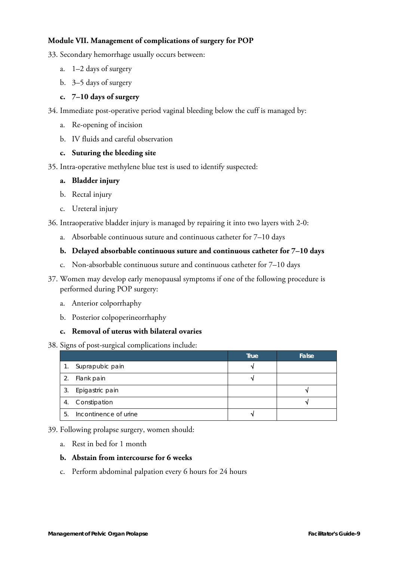#### **Module VII. Management of complications of surgery for POP**

- 33. Secondary hemorrhage usually occurs between:
	- a. 1–2 days of surgery
	- b. 3–5 days of surgery

#### **c. 7–10 days of surgery**

- 34. Immediate post-operative period vaginal bleeding below the cuff is managed by:
	- a. Re-opening of incision
	- b. IV fluids and careful observation

#### **c. Suturing the bleeding site**

35. Intra-operative methylene blue test is used to identify suspected:

#### **a. Bladder injury**

- b. Rectal injury
- c. Ureteral injury

36. Intraoperative bladder injury is managed by repairing it into two layers with 2-0:

a. Absorbable continuous suture and continuous catheter for 7–10 days

#### **b. Delayed absorbable continuous suture and continuous catheter for 7–10 days**

- c. Non-absorbable continuous suture and continuous catheter for 7–10 days
- 37. Women may develop early menopausal symptoms if one of the following procedure is performed during POP surgery:
	- a. Anterior colporrhaphy
	- b. Posterior colpoperineorrhaphy

#### **c. Removal of uterus with bilateral ovaries**

#### 38. Signs of post-surgical complications include:

|    |                       | True | False |
|----|-----------------------|------|-------|
|    | Suprapubic pain       |      |       |
|    | Flank pain            |      |       |
| 3. | Epigastric pain       |      |       |
| 4. | Constipation          |      |       |
| 5. | Incontinence of urine |      |       |

#### 39. Following prolapse surgery, women should:

a. Rest in bed for 1 month

#### **b. Abstain from intercourse for 6 weeks**

c. Perform abdominal palpation every 6 hours for 24 hours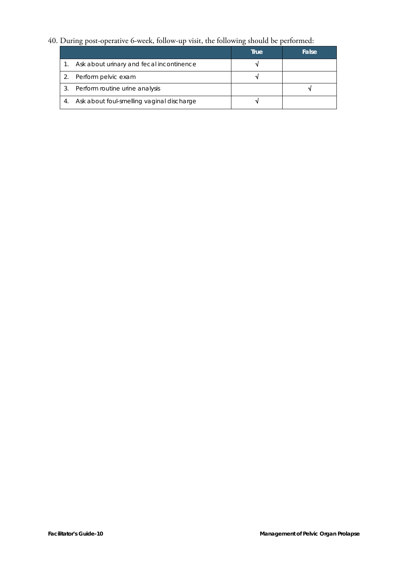#### 40. During post-operative 6-week, follow-up visit, the following should be performed:

|    |                                           | <b>True</b> | False |
|----|-------------------------------------------|-------------|-------|
|    | Ask about urinary and fecal incontinence  |             |       |
|    | Perform pelvic exam                       |             |       |
|    | Perform routine urine analysis            |             |       |
| 4. | Ask about foul-smelling vaginal discharge |             |       |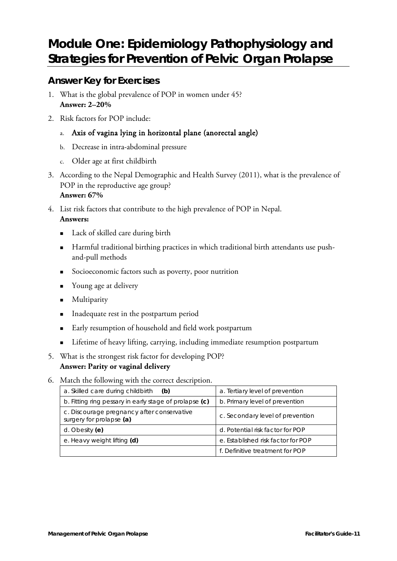# <span id="page-22-0"></span>**Module One: Epidemiology Pathophysiology and Strategies for Prevention of Pelvic Organ Prolapse**

### <span id="page-22-1"></span>**Answer Key for Exercises**

- 1. What is the global prevalence of POP in women under 45? **Answer: 2–20%**
- 2. Risk factors for POP include:
	- a. Axis of vagina lying in horizontal plane (anorectal angle)
	- b. Decrease in intra-abdominal pressure
	- c. Older age at first childbirth
- 3. According to the Nepal Demographic and Health Survey (2011), what is the prevalence of POP in the reproductive age group? **Answer: 67%**
- 4. List risk factors that contribute to the high prevalence of POP in Nepal. **Answers:**
	- Lack of skilled care during birth
	- Harmful traditional birthing practices in which traditional birth attendants use pushand-pull methods
	- Socioeconomic factors such as poverty, poor nutrition
	- **Notary** Young age at delivery
	- **Multiparity**
	- Inadequate rest in the postpartum period
	- **Early resumption of household and field work postpartum**
	- **EXECUTE:** Lifetime of heavy lifting, carrying, including immediate resumption postpartum
- 5. What is the strongest risk factor for developing POP? **Answer: Parity or vaginal delivery**
- 6. Match the following with the correct description.

| a. Skilled care during childbirth<br>(b)                               | a. Tertiary level of prevention    |  |
|------------------------------------------------------------------------|------------------------------------|--|
| b. Fitting ring pessary in early stage of prolapse (c)                 | b. Primary level of prevention     |  |
| c. Discourage pregnancy after conservative<br>surgery for prolapse (a) | c. Secondary level of prevention   |  |
| d. Obesity (e)                                                         | d. Potential risk factor for POP   |  |
| e. Heavy weight lifting (d)                                            | e. Established risk factor for POP |  |
|                                                                        | f. Definitive treatment for POP    |  |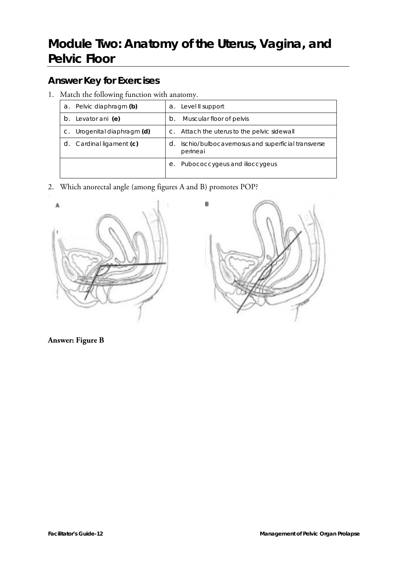# <span id="page-23-0"></span>**Module Two: Anatomy of the Uterus, Vagina, and Pelvic Floor**

# <span id="page-23-1"></span>**Answer Key for Exercises**

1. Match the following function with anatomy.

| a. | Pelvic diaphragm (b)     |       | a. Level II support                                           |
|----|--------------------------|-------|---------------------------------------------------------------|
| b. | Levator ani (e)          | $b$ . | Muscular floor of pelvis                                      |
|    | Urogenital diaphragm (d) |       | c. Attach the uterus to the pelvic sidewall                   |
|    | Cardinal ligament (c)    | d.    | Ischio/bulbocavernosus and superficial transverse<br>perineai |
|    |                          | е.    | Pubococcygeus and ilioccygeus                                 |

2. Which anorectal angle (among figures A and B) promotes POP?





**Answer: Figure B**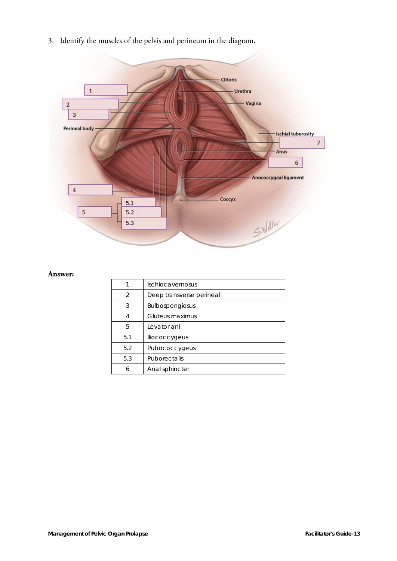3. Identify the muscles of the pelvis and perineum in the diagram.



#### **Answer:**

|                | Ischiocavernosus         |
|----------------|--------------------------|
| $\overline{2}$ | Deep transverse perineal |
| 3              | <b>Bulbospongiosus</b>   |
|                | Gluteus maximus          |
| 5              | Levator ani              |
| 5.1            | lliococcygeus            |
| 5.2            | Pubococcygeus            |
| 5.3            | Puborectalis             |
| 6              | Anal sphincter           |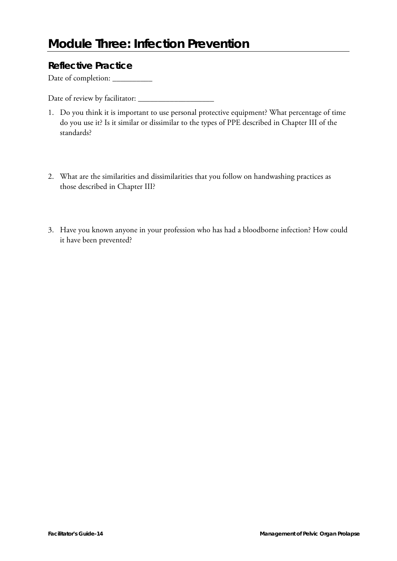### <span id="page-25-1"></span><span id="page-25-0"></span>**Reflective Practice**

Date of completion: \_\_\_\_\_\_\_\_\_\_\_

Date of review by facilitator:

- 1. Do you think it is important to use personal protective equipment? What percentage of time do you use it? Is it similar or dissimilar to the types of PPE described in Chapter III of the standards?
- 2. What are the similarities and dissimilarities that you follow on handwashing practices as those described in Chapter III?
- 3. Have you known anyone in your profession who has had a bloodborne infection? How could it have been prevented?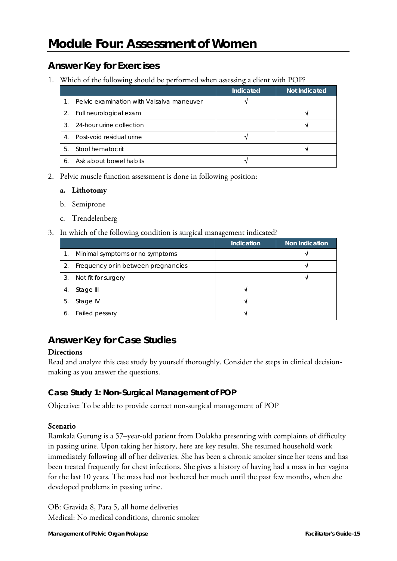### <span id="page-26-1"></span><span id="page-26-0"></span>**Answer Key for Exercises**

1. Which of the following should be performed when assessing a client with POP?

|                |                                           | Indicated | <b>Not Indicated</b> |
|----------------|-------------------------------------------|-----------|----------------------|
| $1_{-}$        | Pelvic examination with Valsalva maneuver |           |                      |
|                | 2. Full neurological exam                 |           |                      |
| $\mathcal{R}$  | 24-hour urine collection                  |           |                      |
| 4 <sup>1</sup> | Post-void residual urine                  |           |                      |
| $5 -$          | Stool hematocrit                          |           |                      |
|                | Ask about bowel habits                    |           |                      |

2. Pelvic muscle function assessment is done in following position:

#### **a. Lithotomy**

- b. Semiprone
- c. Trendelenberg
- 3. In which of the following condition is surgical management indicated?

|    |                                     | <b>Indication</b> | <b>Non Indication</b> |
|----|-------------------------------------|-------------------|-----------------------|
|    | Minimal symptoms or no symptoms     |                   |                       |
|    | Frequency or in between pregnancies |                   |                       |
| 3. | Not fit for surgery                 |                   |                       |
| 4. | Stage III                           |                   |                       |
| 5. | Stage IV                            |                   |                       |
| 6  | Failed pessary                      |                   |                       |

## <span id="page-26-2"></span>**Answer Key for Case Studies**

#### **Directions**

Read and analyze this case study by yourself thoroughly. Consider the steps in clinical decisionmaking as you answer the questions.

### **Case Study 1: Non-Surgical Management of POP**

Objective: To be able to provide correct non-surgical management of POP

#### Scenario

Ramkala Gurung is a 57–year-old patient from Dolakha presenting with complaints of difficulty in passing urine. Upon taking her history, here are key results. She resumed household work immediately following all of her deliveries. She has been a chronic smoker since her teens and has been treated frequently for chest infections. She gives a history of having had a mass in her vagina for the last 10 years. The mass had not bothered her much until the past few months, when she developed problems in passing urine.

OB: Gravida 8, Para 5, all home deliveries Medical: No medical conditions, chronic smoker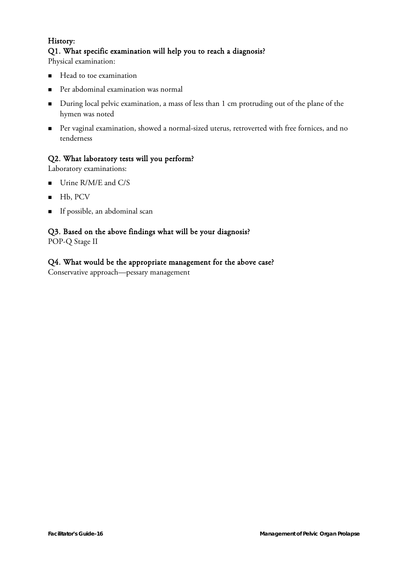### History: Q1. What specific examination will help you to reach a diagnosis?

Physical examination:

- Head to toe examination
- Per abdominal examination was normal
- During local pelvic examination, a mass of less than 1 cm protruding out of the plane of the hymen was noted
- Per vaginal examination, showed a normal-sized uterus, retroverted with free fornices, and no tenderness

#### Q2. What laboratory tests will you perform?

Laboratory examinations:

- Urine R/M/E and C/S
- $Hb, PCV$
- If possible, an abdominal scan

#### Q3. Based on the above findings what will be your diagnosis?

POP-Q Stage II

#### Q4. What would be the appropriate management for the above case?

Conservative approach—pessary management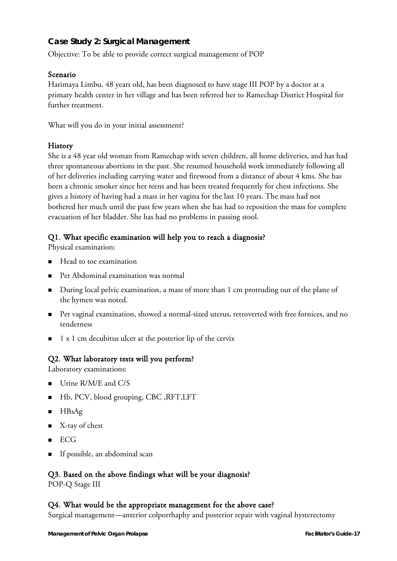#### **Case Study 2: Surgical Management**

Objective: To be able to provide correct surgical management of POP

#### Scenario

Harimaya Limbu, 48 years old, has been diagnosed to have stage III POP by a doctor at a primary health center in her village and has been referred her to Ramechap District Hospital for further treatment.

What will you do in your initial assessment?

#### **History**

She is a 48 year old woman from Ramechap with seven children, all home deliveries, and has had three spontaneous abortions in the past. She resumed household work immediately following all of her deliveries including carrying water and firewood from a distance of about 4 kms. She has been a chronic smoker since her teens and has been treated frequently for chest infections. She gives a history of having had a mass in her vagina for the last 10 years. The mass had not bothered her much until the past few years when she has had to reposition the mass for complete evacuation of her bladder. She has had no problems in passing stool.

#### Q1. What specific examination will help you to reach a diagnosis?

Physical examination:

- $\blacksquare$  Head to toe examination
- Per Abdominal examination was normal
- During local pelvic examination, a mass of more than 1 cm protruding out of the plane of the hymen was noted.
- Per vaginal examination, showed a normal-sized uterus, retroverted with free fornices, and no tenderness
- $\blacksquare$  1 x 1 cm decubitus ulcer at the posterior lip of the cervix

#### Q2. What laboratory tests will you perform?

Laboratory examinations:

- Urine R/M/E and C/S
- Hb, PCV, blood grouping, CBC ,RFT,LFT
- $HBsAg$
- $\blacksquare$  X-ray of chest
- $ECG$
- If possible, an abdominal scan

#### Q3. Based on the above findings what will be your diagnosis?

POP-Q Stage III

#### Q4. What would be the appropriate management for the above case?

Surgical management—anterior colporrhaphy and posterior repair with vaginal hysterectomy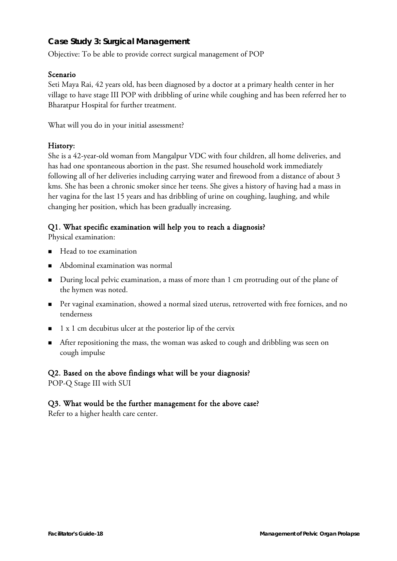#### **Case Study 3: Surgical Management**

Objective: To be able to provide correct surgical management of POP

#### Scenario

Seti Maya Rai, 42 years old, has been diagnosed by a doctor at a primary health center in her village to have stage III POP with dribbling of urine while coughing and has been referred her to Bharatpur Hospital for further treatment.

What will you do in your initial assessment?

#### History:

She is a 42-year-old woman from Mangalpur VDC with four children, all home deliveries, and has had one spontaneous abortion in the past. She resumed household work immediately following all of her deliveries including carrying water and firewood from a distance of about 3 kms. She has been a chronic smoker since her teens. She gives a history of having had a mass in her vagina for the last 15 years and has dribbling of urine on coughing, laughing, and while changing her position, which has been gradually increasing.

#### Q1. What specific examination will help you to reach a diagnosis?

Physical examination:

- Head to toe examination
- Abdominal examination was normal
- During local pelvic examination, a mass of more than 1 cm protruding out of the plane of the hymen was noted.
- Per vaginal examination, showed a normal sized uterus, retroverted with free fornices, and no tenderness
- $\blacksquare$  1 x 1 cm decubitus ulcer at the posterior lip of the cervix
- After repositioning the mass, the woman was asked to cough and dribbling was seen on cough impulse

#### Q2. Based on the above findings what will be your diagnosis?

POP-Q Stage III with SUI

#### Q3. What would be the further management for the above case?

Refer to a higher health care center.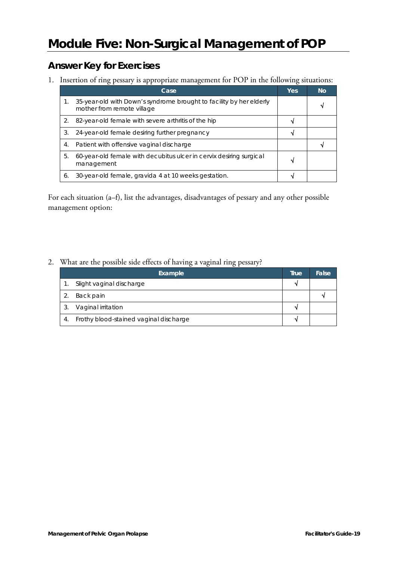# <span id="page-30-0"></span>**Module Five: Non-Surgical Management of POP**

## <span id="page-30-1"></span>**Answer Key for Exercises**

1. Insertion of ring pessary is appropriate management for POP in the following situations:

|    | Case                                                                                              | <b>Yes</b> | <b>No</b> |
|----|---------------------------------------------------------------------------------------------------|------------|-----------|
| 1. | 35-year-old with Down's syndrome brought to facility by her elderly<br>mother from remote village |            |           |
| 2. | 82-year-old female with severe arthritis of the hip                                               |            |           |
| 3. | 24-year-old female desiring further pregnancy                                                     |            |           |
| 4. | Patient with offensive vaginal discharge                                                          |            |           |
| 5. | 60-year-old female with decubitus ulcer in cervix desiring surgical<br>management                 |            |           |
| 6. | 30-year-old female, gravida 4 at 10 weeks gestation.                                              |            |           |

For each situation (a–f), list the advantages, disadvantages of pessary and any other possible management option:

2. What are the possible side effects of having a vaginal ring pessary?

|    | Example                                | True | False |
|----|----------------------------------------|------|-------|
|    | Slight vaginal discharge               |      |       |
|    | Back pain                              |      |       |
|    | Vaginal irritation                     |      |       |
| 4. | Frothy blood-stained vaginal discharge |      |       |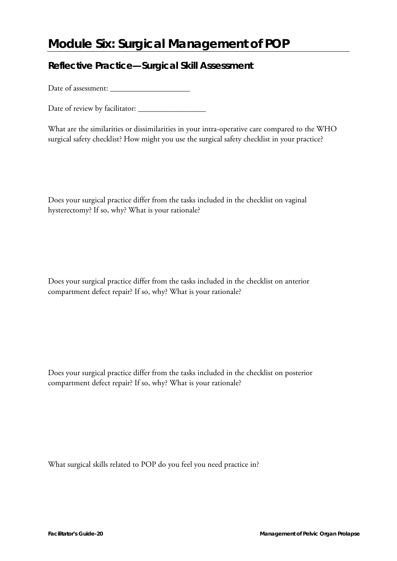# <span id="page-31-0"></span>**Module Six: Surgical Management of POP**

### <span id="page-31-1"></span>**Reflective Practice—Surgical Skill Assessment**

Date of assessment: \_\_\_\_\_\_\_\_\_\_\_\_\_\_\_\_\_\_\_\_

Date of review by facilitator: \_\_\_\_\_\_\_\_\_\_\_\_\_\_\_\_\_

What are the similarities or dissimilarities in your intra-operative care compared to the WHO surgical safety checklist? How might you use the surgical safety checklist in your practice?

Does your surgical practice differ from the tasks included in the checklist on vaginal hysterectomy? If so, why? What is your rationale?

Does your surgical practice differ from the tasks included in the checklist on anterior compartment defect repair? If so, why? What is your rationale?

Does your surgical practice differ from the tasks included in the checklist on posterior compartment defect repair? If so, why? What is your rationale?

What surgical skills related to POP do you feel you need practice in?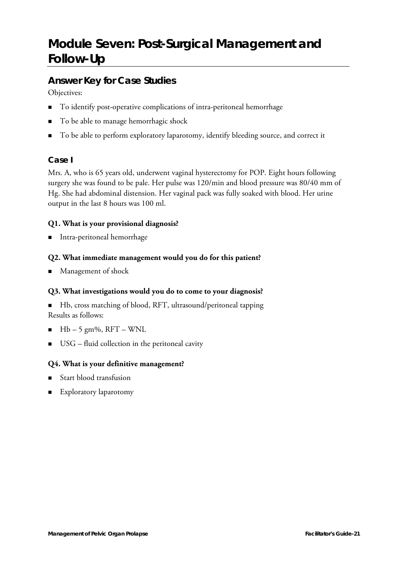# <span id="page-32-0"></span>**Module Seven: Post-Surgical Management and Follow-Up**

### <span id="page-32-1"></span>**Answer Key for Case Studies**

Objectives:

- To identify post-operative complications of intra-peritoneal hemorrhage
- To be able to manage hemorrhagic shock
- To be able to perform exploratory laparotomy, identify bleeding source, and correct it

### **Case I**

Mrs. A, who is 65 years old, underwent vaginal hysterectomy for POP. Eight hours following surgery she was found to be pale. Her pulse was 120/min and blood pressure was 80/40 mm of Hg. She had abdominal distension. Her vaginal pack was fully soaked with blood. Her urine output in the last 8 hours was 100 ml.

#### **Q1. What is your provisional diagnosis?**

**Intra-peritoneal hemorrhage** 

#### **Q2. What immediate management would you do for this patient?**

■ Management of shock

#### **Q3. What investigations would you do to come to your diagnosis?**

■ Hb, cross matching of blood, RFT, ultrasound/peritoneal tapping Results as follows:

- $Hb 5$  gm%, RFT WNL
- $\blacksquare$  USG fluid collection in the peritoneal cavity

#### **Q4. What is your definitive management?**

- Start blood transfusion
- Exploratory laparotomy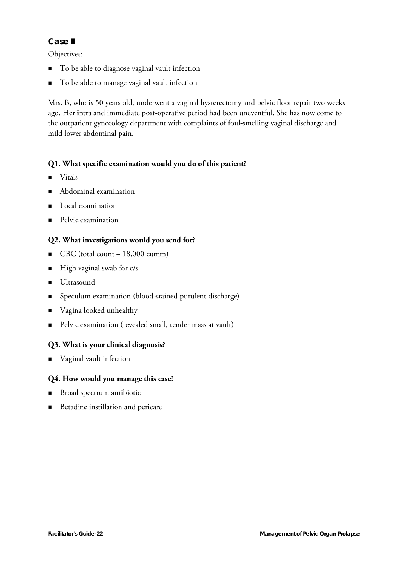#### **Case II**

Objectives:

- To be able to diagnose vaginal vault infection
- To be able to manage vaginal vault infection

Mrs. B, who is 50 years old, underwent a vaginal hysterectomy and pelvic floor repair two weeks ago. Her intra and immediate post-operative period had been uneventful. She has now come to the outpatient gynecology department with complaints of foul-smelling vaginal discharge and mild lower abdominal pain.

#### **Q1. What specific examination would you do of this patient?**

- **Vitals**
- Abdominal examination
- **Local examination**
- **Pelvic examination**

#### **Q2. What investigations would you send for?**

- $\blacksquare$  CBC (total count 18,000 cumm)
- $\blacksquare$  High vaginal swab for c/s
- **Ultrasound**
- Speculum examination (blood-stained purulent discharge)
- Vagina looked unhealthy
- Pelvic examination (revealed small, tender mass at vault)

#### **Q3. What is your clinical diagnosis?**

■ Vaginal vault infection

#### **Q4. How would you manage this case?**

- Broad spectrum antibiotic
- Betadine instillation and pericare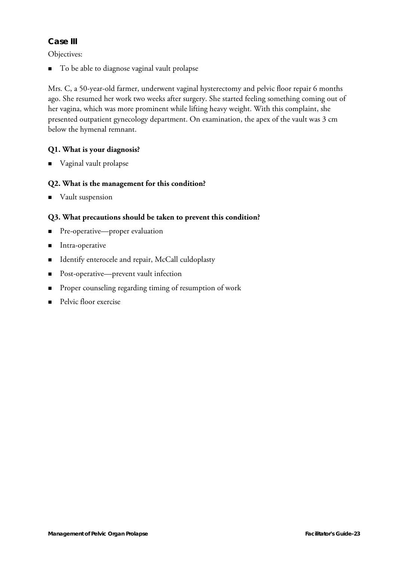#### **Case III**

Objectives:

■ To be able to diagnose vaginal vault prolapse

Mrs. C, a 50-year-old farmer, underwent vaginal hysterectomy and pelvic floor repair 6 months ago. She resumed her work two weeks after surgery. She started feeling something coming out of her vagina, which was more prominent while lifting heavy weight. With this complaint, she presented outpatient gynecology department. On examination, the apex of the vault was 3 cm below the hymenal remnant.

#### **Q1. What is your diagnosis?**

Vaginal vault prolapse

#### **Q2. What is the management for this condition?**

**Vault** suspension

#### **Q3. What precautions should be taken to prevent this condition?**

- **Pre-operative—proper evaluation**
- **Intra-operative**
- Identify enterocele and repair, McCall culdoplasty
- Post-operative—prevent vault infection
- **Proper counseling regarding timing of resumption of work**
- **Pelvic floor exercise**